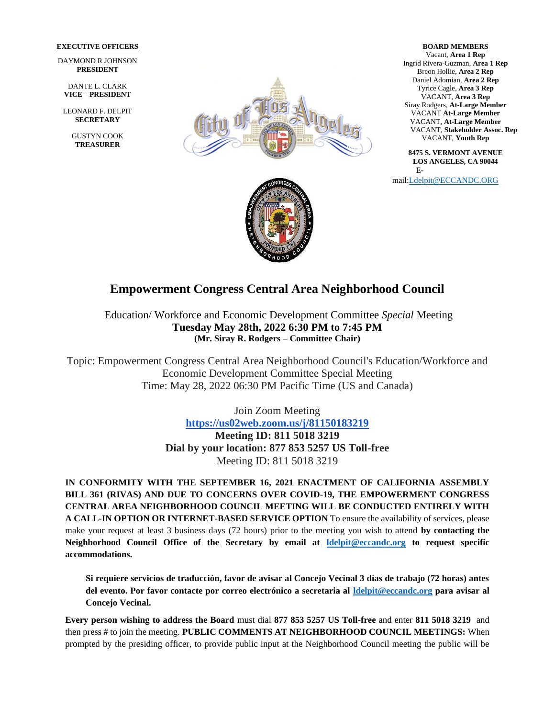#### **EXECUTIVE OFFICERS**

DAYMOND R JOHNSON **PRESIDENT**

DANTE L. CLARK **VICE – PRESIDENT**

LEONARD F. DELPIT **SECRETARY**

> GUSTYN COOK **TREASURER**



### **BOARD MEMBERS**

Vacant, **Area 1 Rep**  Ingrid Rivera-Guzman, **Area 1 Rep** Breon Hollie, **Area 2 Rep** Daniel Adomian, **Area 2 Rep** Tyrice Cagle, **Area 3 Rep** VACANT, **Area 3 Rep** Siray Rodgers, **At-Large Member** VACANT **At-Large Member** VACANT, **At-Large Member** VACANT, **Stakeholder Assoc. Rep** VACANT, **Youth Rep**

**8475 S. VERMONT AVENUE LOS ANGELES, CA 90044** E-

mail[:Ldelpit@ECCANDC.ORG](mailto:Ldelpit@ECCANDC.ORG)



# **Empowerment Congress Central Area Neighborhood Council**

Education/ Workforce and Economic Development Committee *Special* Meeting **Tuesday May 28th, 2022 6:30 PM to 7:45 PM (Mr. Siray R. Rodgers – Committee Chair)**

Topic: Empowerment Congress Central Area Neighborhood Council's Education/Workforce and Economic Development Committee Special Meeting Time: May 28, 2022 06:30 PM Pacific Time (US and Canada)

> Join Zoom Meeting **<https://us02web.zoom.us/j/81150183219> Meeting ID: 811 5018 3219 Dial by your location: 877 853 5257 US Toll-free** Meeting ID: 811 5018 3219

**IN CONFORMITY WITH THE SEPTEMBER 16, 2021 ENACTMENT OF CALIFORNIA ASSEMBLY BILL 361 (RIVAS) AND DUE TO CONCERNS OVER COVID-19, THE EMPOWERMENT CONGRESS CENTRAL AREA NEIGHBORHOOD COUNCIL MEETING WILL BE CONDUCTED ENTIRELY WITH A CALL-IN OPTION OR INTERNET-BASED SERVICE OPTION** To ensure the availability of services, please make your request at least 3 business days (72 hours) prior to the meeting you wish to attend **by contacting the Neighborhood Council Office of the Secretary by email at [ldelpit@eccandc.org](mailto:ldelpit@eccandc.org) to request specific accommodations.**

**Si requiere servicios de traducción, favor de avisar al Concejo Vecinal 3 días de trabajo (72 horas) antes del evento. Por favor contacte por correo electrónico a secretaria al [ldelpit@eccandc.org](mailto:ldelpit@eccandc.org) para avisar al Concejo Vecinal.**

**Every person wishing to address the Board** must dial **877 853 5257 US Toll-free** and enter **811 5018 3219** and then press # to join the meeting. **PUBLIC COMMENTS AT NEIGHBORHOOD COUNCIL MEETINGS:** When prompted by the presiding officer, to provide public input at the Neighborhood Council meeting the public will be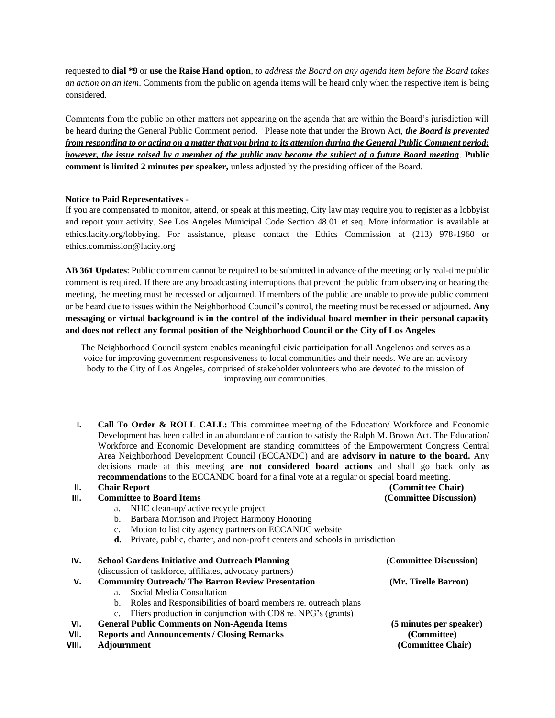requested to **dial \*9** or **use the Raise Hand option**, *to address the Board on any agenda item before the Board takes an action on an item*. Comments from the public on agenda items will be heard only when the respective item is being considered.

Comments from the public on other matters not appearing on the agenda that are within the Board's jurisdiction will be heard during the General Public Comment period.Please note that under the Brown Act, *the Board is prevented from responding to or acting on a matter that you bring to its attention during the General Public Comment period; however, the issue raised by a member of the public may become the subject of a future Board meeting*. **Public comment is limited 2 minutes per speaker,** unless adjusted by the presiding officer of the Board.

#### **Notice to Paid Representatives -**

If you are compensated to monitor, attend, or speak at this meeting, City law may require you to register as a lobbyist and report your activity. See Los Angeles Municipal Code Section 48.01 et seq. More information is available at ethics.lacity.org/lobbying. For assistance, please contact the Ethics Commission at (213) 978-1960 or ethics.commission@lacity.org

**AB 361 Updates**: Public comment cannot be required to be submitted in advance of the meeting; only real-time public comment is required. If there are any broadcasting interruptions that prevent the public from observing or hearing the meeting, the meeting must be recessed or adjourned. If members of the public are unable to provide public comment or be heard due to issues within the Neighborhood Council's control, the meeting must be recessed or adjourned*.* **Any messaging or virtual background is in the control of the individual board member in their personal capacity and does not reflect any formal position of the Neighborhood Council or the City of Los Angeles**

The Neighborhood Council system enables meaningful civic participation for all Angelenos and serves as a voice for improving government responsiveness to local communities and their needs. We are an advisory body to the City of Los Angeles, comprised of stakeholder volunteers who are devoted to the mission of improving our communities.

**I. Call To Order & ROLL CALL:** This committee meeting of the Education/ Workforce and Economic Development has been called in an abundance of caution to satisfy the Ralph M. Brown Act. The Education/ Workforce and Economic Development are standing committees of the Empowerment Congress Central Area Neighborhood Development Council (ECCANDC) and are **advisory in nature to the board.** Any decisions made at this meeting **are not considered board actions** and shall go back only **as recommendations** to the ECCANDC board for a final vote at a regular or special board meeting.

#### **II. Chair Report (Committee Chair)**

## **III. Committee to Board Items (Committee Discussion)** a. NHC clean-up/ active recycle project b. Barbara Morrison and Project Harmony Honoring c. Motion to list city agency partners on ECCANDC website **d.** Private, public, charter, and non-profit centers and schools in jurisdiction **IV. School Gardens Initiative and Outreach Planning (Committee Discussion)**  (discussion of taskforce, affiliates, advocacy partners) **V. Community Outreach/ The Barron Review Presentation (Mr. Tirelle Barron)**

- a. Social Media Consultation
	- b. Roles and Responsibilities of board members re. outreach plans
- c. Fliers production in conjunction with CD8 re. NPG's (grants)
- **VI. General Public Comments on Non-Agenda Items (5 minutes per speaker)**
- **VII. Reports and Announcements / Closing Remarks (Committee)**
- **VIII. Adjournment (Committee Chair)**
-